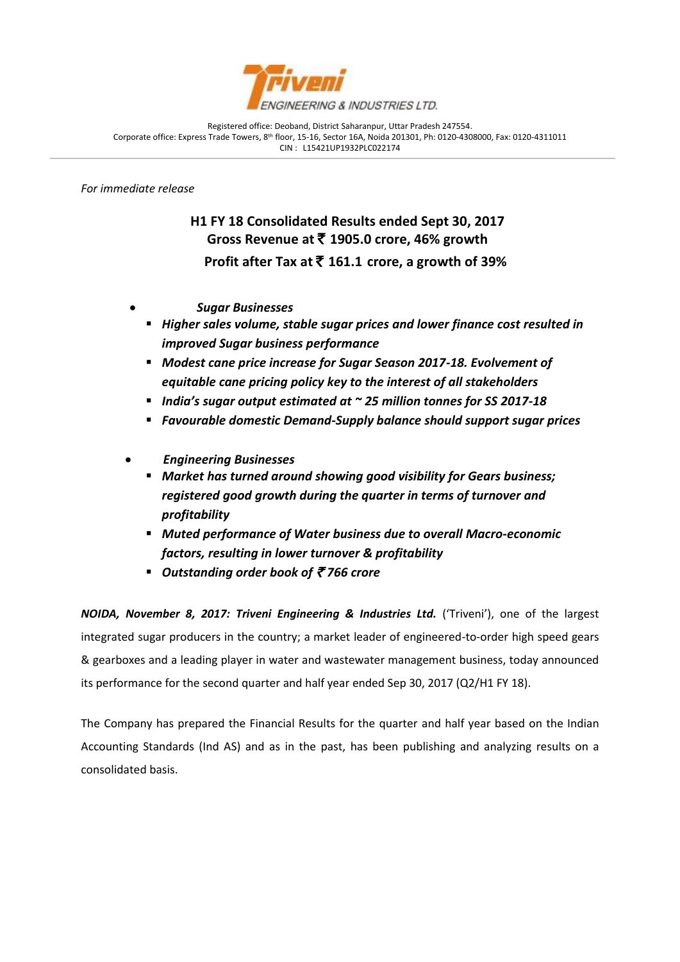

Registered office: Deoband, District Saharanpur, Uttar Pradesh 247554. Corporate office: Express Trade Towers, 8th floor, 15-16, Sector 16A, Noida 201301, Ph: 0120-4308000, Fax: 0120-4311011 CIN : L15421UP1932PLC022174

*For immediate release*

j

**H1 FY 18 Consolidated Results ended Sept 30, 2017 Gross Revenue at** ` **1905.0 crore, 46% growth Profit after Tax at** ` **161.1 crore, a growth of 39%**

- *Sugar Businesses*
- *Higher sales volume, stable sugar prices and lower finance cost resulted in improved Sugar business performance*
- *Modest cane price increase for Sugar Season 2017-18. Evolvement of equitable cane pricing policy key to the interest of all stakeholders*
- *India's sugar output estimated at ~ 25 million tonnes for SS 2017-18*
- *Favourable domestic Demand-Supply balance should support sugar prices*
- *Engineering Businesses*
	- *Market has turned around showing good visibility for Gears business; registered good growth during the quarter in terms of turnover and profitability*
	- *Muted performance of Water business due to overall Macro-economic factors, resulting in lower turnover & profitability*
	- *Outstanding order book of ₹766 crore*

*NOIDA, November 8, 2017: Triveni Engineering & Industries Ltd.* ('Triveni'), one of the largest integrated sugar producers in the country; a market leader of engineered-to-order high speed gears & gearboxes and a leading player in water and wastewater management business, today announced its performance for the second quarter and half year ended Sep 30, 2017 (Q2/H1 FY 18).

The Company has prepared the Financial Results for the quarter and half year based on the Indian Accounting Standards (Ind AS) and as in the past, has been publishing and analyzing results on a consolidated basis.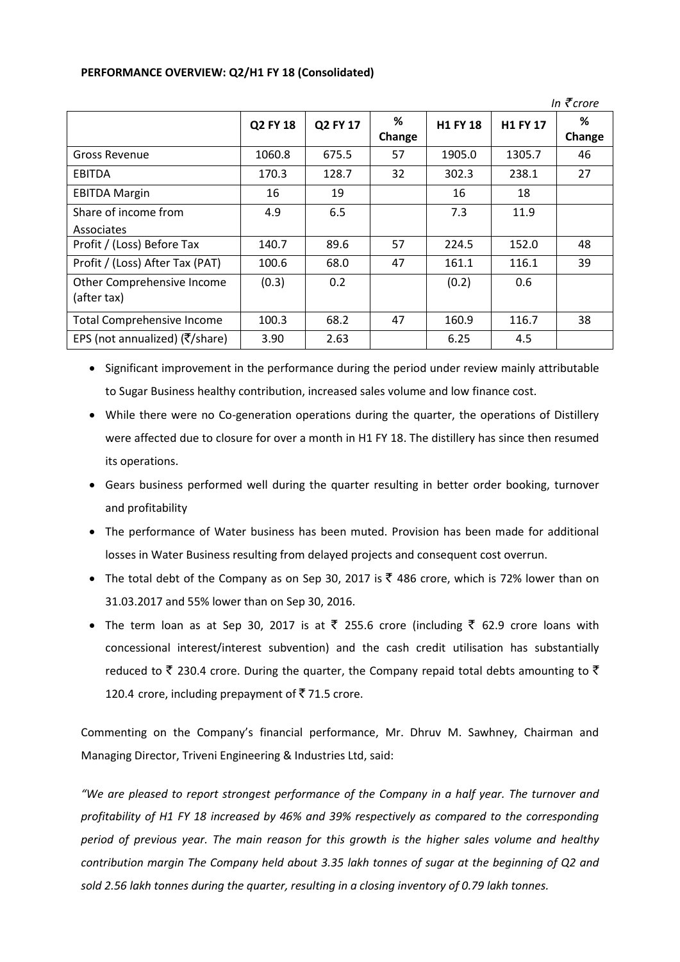## **PERFORMANCE OVERVIEW: Q2/H1 FY 18 (Consolidated)**

|                                                              |          |          |             |          |                 | In $\bar{\tau}$ crore |
|--------------------------------------------------------------|----------|----------|-------------|----------|-----------------|-----------------------|
|                                                              | Q2 FY 18 | Q2 FY 17 | %<br>Change | H1 FY 18 | <b>H1 FY 17</b> | %<br>Change           |
| <b>Gross Revenue</b>                                         | 1060.8   | 675.5    | 57          | 1905.0   | 1305.7          | 46                    |
| <b>EBITDA</b>                                                | 170.3    | 128.7    | 32          | 302.3    | 238.1           | 27                    |
| <b>EBITDA Margin</b>                                         | 16       | 19       |             | 16       | 18              |                       |
| Share of income from<br>Associates                           | 4.9      | 6.5      |             | 7.3      | 11.9            |                       |
| Profit / (Loss) Before Tax                                   | 140.7    | 89.6     | 57          | 224.5    | 152.0           | 48                    |
| Profit / (Loss) After Tax (PAT)                              | 100.6    | 68.0     | 47          | 161.1    | 116.1           | 39                    |
| Other Comprehensive Income<br>(after tax)                    | (0.3)    | 0.2      |             | (0.2)    | 0.6             |                       |
| <b>Total Comprehensive Income</b>                            | 100.3    | 68.2     | 47          | 160.9    | 116.7           | 38                    |
| EPS (not annualized) ( $\overline{\zeta}/\overline{\zeta}$ ) | 3.90     | 2.63     |             | 6.25     | 4.5             |                       |

• Significant improvement in the performance during the period under review mainly attributable to Sugar Business healthy contribution, increased sales volume and low finance cost.

- While there were no Co-generation operations during the quarter, the operations of Distillery were affected due to closure for over a month in H1 FY 18. The distillery has since then resumed its operations.
- Gears business performed well during the quarter resulting in better order booking, turnover and profitability
- The performance of Water business has been muted. Provision has been made for additional losses in Water Business resulting from delayed projects and consequent cost overrun.
- The total debt of the Company as on Sep 30, 2017 is  $\bar{\tau}$  486 crore, which is 72% lower than on 31.03.2017 and 55% lower than on Sep 30, 2016.
- The term loan as at Sep 30, 2017 is at  $\overline{\zeta}$  255.6 crore (including  $\overline{\zeta}$  62.9 crore loans with concessional interest/interest subvention) and the cash credit utilisation has substantially reduced to  $\bar{\tau}$  230.4 crore. During the quarter, the Company repaid total debts amounting to  $\bar{\tau}$ 120.4 crore, including prepayment of  $\bar{z}$  71.5 crore.

Commenting on the Company's financial performance, Mr. Dhruv M. Sawhney, Chairman and Managing Director, Triveni Engineering & Industries Ltd, said:

*"We are pleased to report strongest performance of the Company in a half year. The turnover and profitability of H1 FY 18 increased by 46% and 39% respectively as compared to the corresponding period of previous year. The main reason for this growth is the higher sales volume and healthy contribution margin The Company held about 3.35 lakh tonnes of sugar at the beginning of Q2 and sold 2.56 lakh tonnes during the quarter, resulting in a closing inventory of 0.79 lakh tonnes.*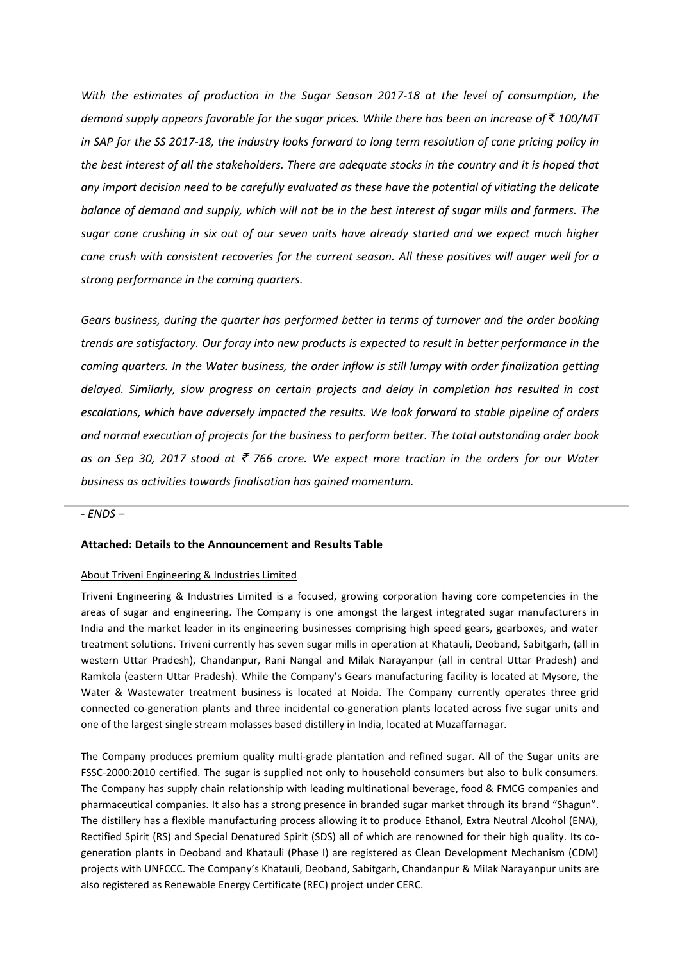*With the estimates of production in the Sugar Season 2017-18 at the level of consumption, the demand supply appears favorable for the sugar prices. While there has been an increase of* ` *100/MT in SAP for the SS 2017-18, the industry looks forward to long term resolution of cane pricing policy in the best interest of all the stakeholders. There are adequate stocks in the country and it is hoped that any import decision need to be carefully evaluated as these have the potential of vitiating the delicate balance of demand and supply, which will not be in the best interest of sugar mills and farmers. The sugar cane crushing in six out of our seven units have already started and we expect much higher cane crush with consistent recoveries for the current season. All these positives will auger well for a strong performance in the coming quarters.*

*Gears business, during the quarter has performed better in terms of turnover and the order booking trends are satisfactory. Our foray into new products is expected to result in better performance in the coming quarters. In the Water business, the order inflow is still lumpy with order finalization getting delayed. Similarly, slow progress on certain projects and delay in completion has resulted in cost escalations, which have adversely impacted the results. We look forward to stable pipeline of orders and normal execution of projects for the business to perform better. The total outstanding order book as on Sep 30, 2017 stood at ₹ 766 crore. We expect more traction in the orders for our Water business as activities towards finalisation has gained momentum.* 

## *- ENDS –*

## **Attached: Details to the Announcement and Results Table**

## About Triveni Engineering & Industries Limited

Triveni Engineering & Industries Limited is a focused, growing corporation having core competencies in the areas of sugar and engineering. The Company is one amongst the largest integrated sugar manufacturers in India and the market leader in its engineering businesses comprising high speed gears, gearboxes, and water treatment solutions. Triveni currently has seven sugar mills in operation at Khatauli, Deoband, Sabitgarh, (all in western Uttar Pradesh), Chandanpur, Rani Nangal and Milak Narayanpur (all in central Uttar Pradesh) and Ramkola (eastern Uttar Pradesh). While the Company's Gears manufacturing facility is located at Mysore, the Water & Wastewater treatment business is located at Noida. The Company currently operates three grid connected co-generation plants and three incidental co-generation plants located across five sugar units and one of the largest single stream molasses based distillery in India, located at Muzaffarnagar.

The Company produces premium quality multi-grade plantation and refined sugar. All of the Sugar units are FSSC-2000:2010 certified. The sugar is supplied not only to household consumers but also to bulk consumers. The Company has supply chain relationship with leading multinational beverage, food & FMCG companies and pharmaceutical companies. It also has a strong presence in branded sugar market through its brand "Shagun". The distillery has a flexible manufacturing process allowing it to produce Ethanol, Extra Neutral Alcohol (ENA), Rectified Spirit (RS) and Special Denatured Spirit (SDS) all of which are renowned for their high quality. Its cogeneration plants in Deoband and Khatauli (Phase I) are registered as Clean Development Mechanism (CDM) projects with UNFCCC. The Company's Khatauli, Deoband, Sabitgarh, Chandanpur & Milak Narayanpur units are also registered as Renewable Energy Certificate (REC) project under CERC.